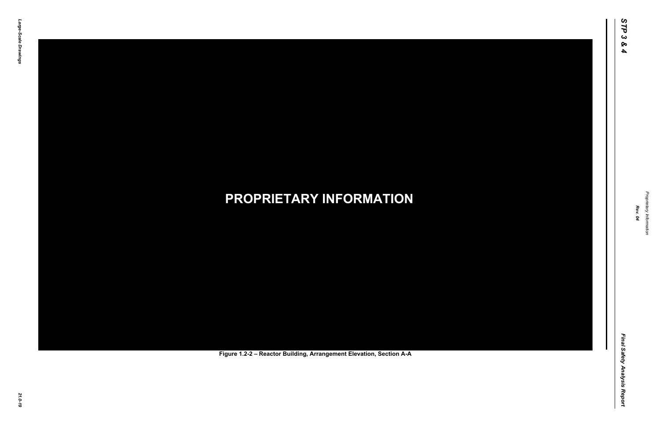Final Safety Analysis Report *Final Safety Analysis Report*

*Proprietary Information* Proprietary Information



### *21.0-19* **PROPRIETARY INFORMATION Figure 1.2-2 – Reactor Building, Arrangement Elevation, Section A-A**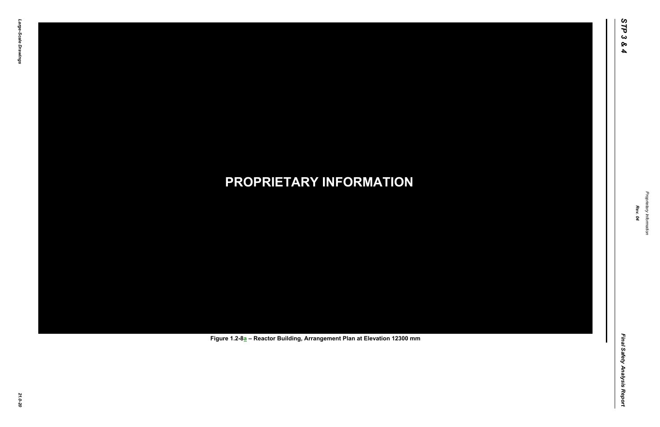Final Safety Analysis Report *Final Safety Analysis Report*

 $\mathbf I$ 

Proprietary Information *Proprietary Information*

# *21.0-20* **PROPRIETARY INFORMATION Figure 1.2-8a – Reactor Building, Arrangement Plan at Elevation 12300 mm**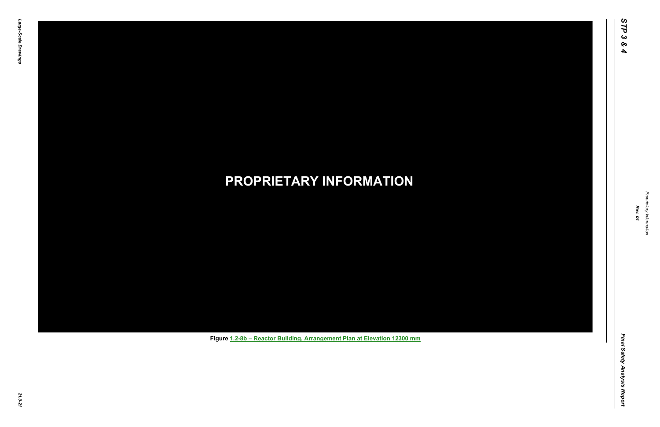Final Safety Analysis Report *Final Safety Analysis Report*



Proprietary Information *Proprietary Information*

# *21.0-21* **PROPRIETARY INFORMATION Figure 1.2-8b – Reactor Building, Arrangement Plan at Elevation 12300 mm**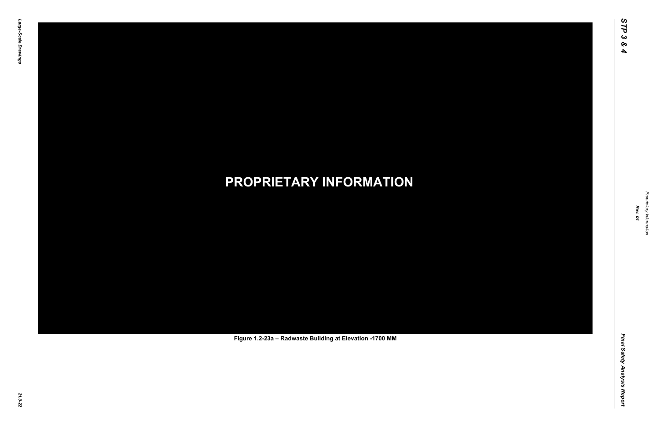Final Safety Analysis Report *Final Safety Analysis Report*

Proprietary Information *Proprietary Information*

# *21.0-22* **PROPRIETARY INFORMATION Figure 1.2-23a – Radwaste Building at Elevation -1700 MM**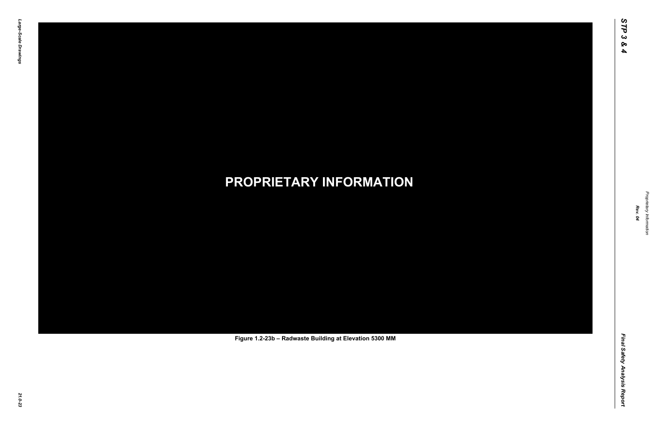Final Safety Analysis Report *Final Safety Analysis Report*

Proprietary Information *Proprietary Information*

# *21.0-23* **PROPRIETARY INFORMATION Figure 1.2-23b – Radwaste Building at Elevation 5300 MM**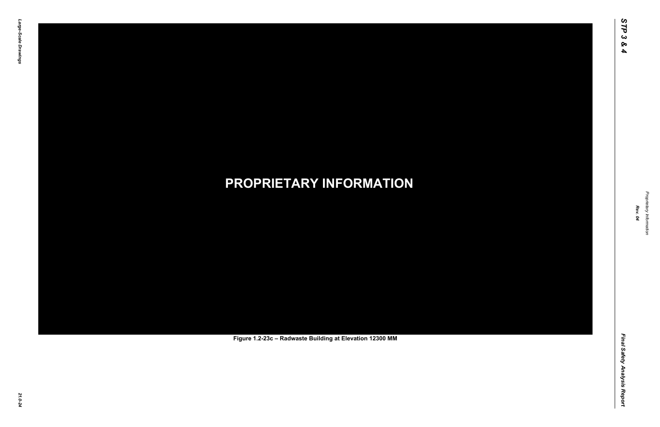Final Safety Analysis Report *Final Safety Analysis Report*



Proprietary Information *Proprietary Information*

# *21.0-24* **PROPRIETARY INFORMATION Figure 1.2-23c – Radwaste Building at Elevation 12300 MM**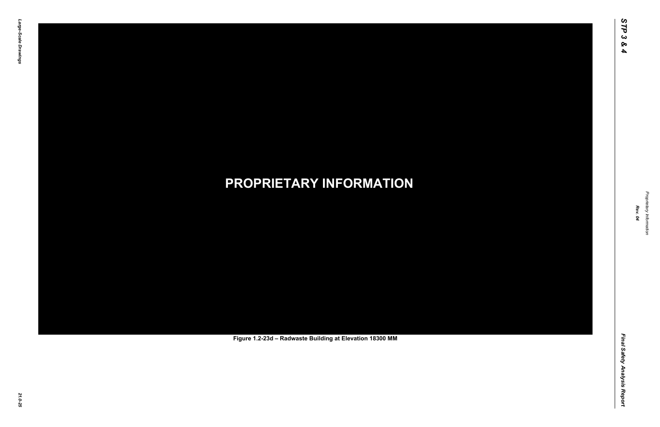Final Safety Analysis Report *Final Safety Analysis Report*



Proprietary Information *Proprietary Information*

# *21.0-25* **PROPRIETARY INFORMATION Figure 1.2-23d – Radwaste Building at Elevation 18300 MM**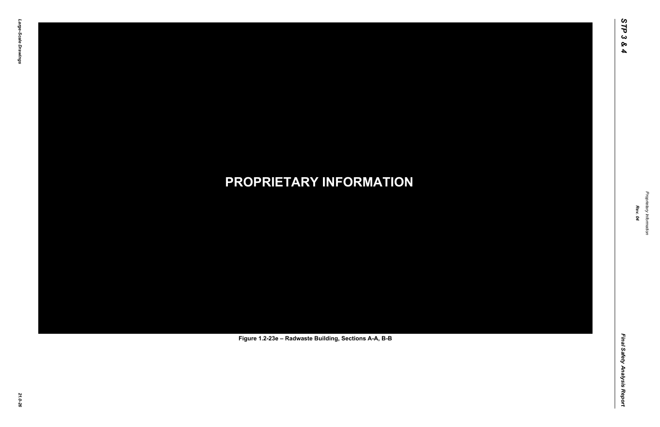Final Safety Analysis Report *Final Safety Analysis Report*

Proprietary Information *Proprietary Information*

# *21.0-26* **PROPRIETARY INFORMATION Figure 1.2-23e – Radwaste Building, Sections A-A, B-B**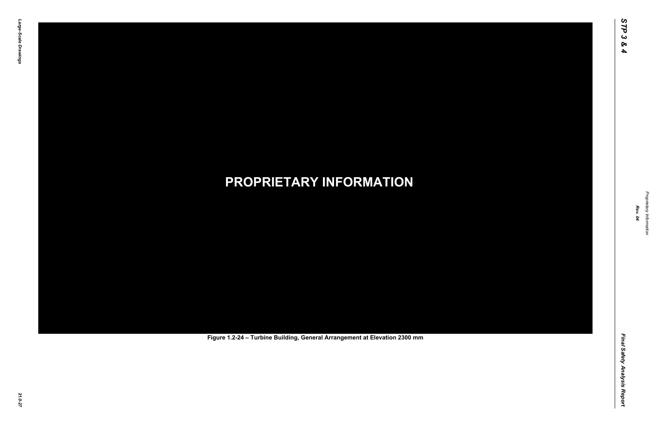Final Safety Analysis Report *Final Safety Analysis Report*

Proprietary Information *Proprietary Information*

# *21.0-27* **PROPRIETARY INFORMATION Figure 1.2-24 – Turbine Building, General Arrangement at Elevation 2300 mm**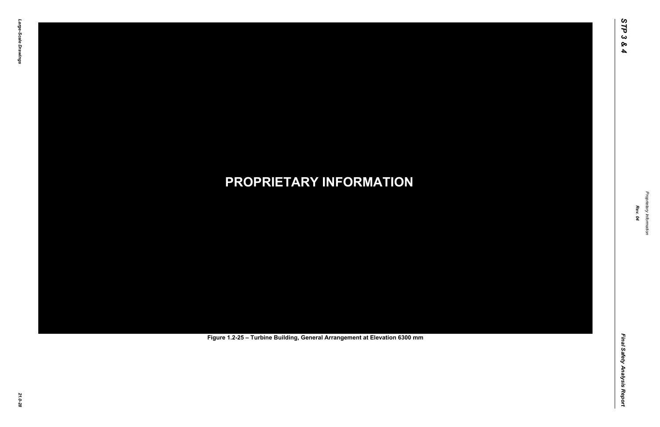Final Safety Analysis Report *Final Safety Analysis Report*

Proprietary Information *Proprietary Information*

# *21.0-28* **PROPRIETARY INFORMATION Figure 1.2-25 – Turbine Building, General Arrangement at Elevation 6300 mm**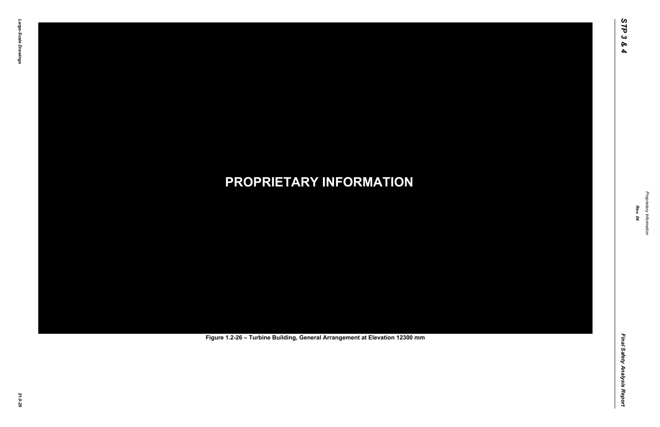Final Safety Analysis Report *Final Safety Analysis Report*

Proprietary Information *Proprietary Information*

# *21.0-29* **PROPRIETARY INFORMATION Figure 1.2-26 – Turbine Building, General Arrangement at Elevation 12300 mm**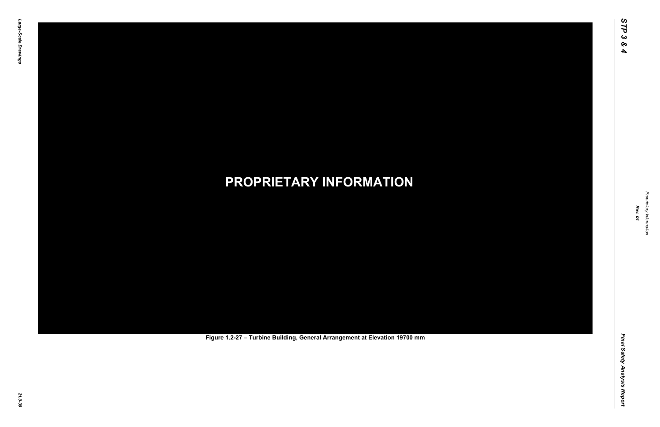Final Safety Analysis Report *Final Safety Analysis Report*

Proprietary Information *Proprietary Information*

# *21.0-30* **PROPRIETARY INFORMATION Figure 1.2-27 – Turbine Building, General Arrangement at Elevation 19700 mm**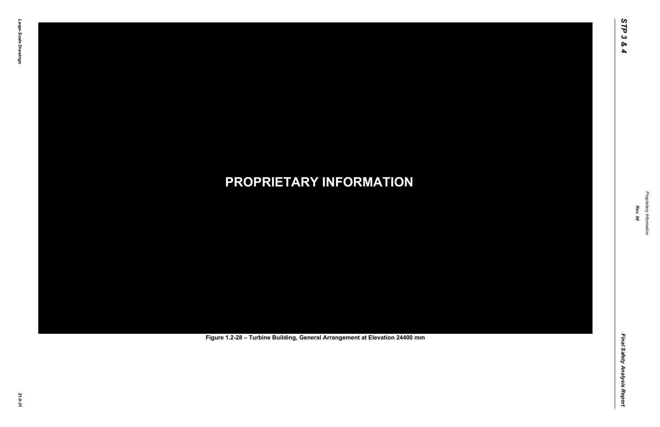Final Safety Analysis Report *Final Safety Analysis Report*

Proprietary Information *Proprietary Information*

# *21.0-31* **PROPRIETARY INFORMATION Figure 1.2-28 – Turbine Building, General Arrangement at Elevation 24400 mm**